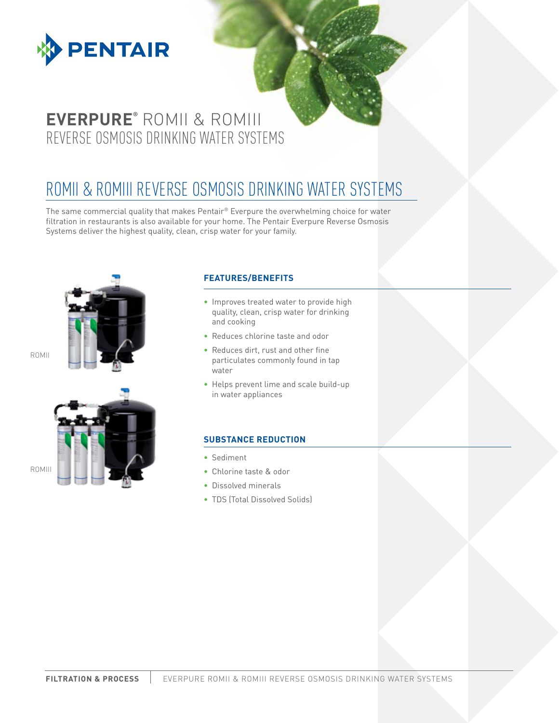

## **EVERPURE®** ROMII & ROMIII REVERSE OSMOSIS DRINKING WATER SYSTEMS

# ROMII & ROMIII REVERSE OSMOSIS DRINKING WATER SYSTEMS

The same commercial quality that makes Pentair® Everpure the overwhelming choice for water filtration in restaurants is also available for your home. The Pentair Everpure Reverse Osmosis Systems deliver the highest quality, clean, crisp water for your family.







### **FEATURES/BENEFITS**

- Improves treated water to provide high quality, clean, crisp water for drinking and cooking
- Reduces chlorine taste and odor
- Reduces dirt, rust and other fine particulates commonly found in tap water
- Helps prevent lime and scale build-up in water appliances

#### **SUBSTANCE REDUCTION**

- Sediment
- Chlorine taste & odor
- Dissolved minerals
- TDS (Total Dissolved Solids)